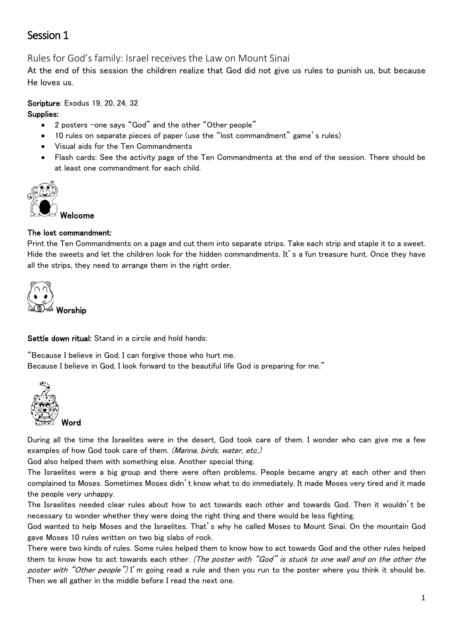# Session 1

## Rules for God's family: Israel receives the Law on Mount Sinai

At the end of this session the children realize that God did not give us rules to punish us, but because He loves us.

Scripture: Exodus 19, 20, 24, 32

### Supplies:

- 2 posters –one says "God" and the other "Other people"
- 10 rules on separate pieces of paper (use the "lost commandment" game's rules)
- Visual aids for the Ten Commandments
- Flash cards: See the activity page of the Ten Commandments at the end of the session. There should be at least one commandment for each child.



#### Welcome

#### The lost commandment:

Print the Ten Commandments on a page and cut them into separate strips. Take each strip and staple it to a sweet. Hide the sweets and let the children look for the hidden commandments. It's a fun treasure hunt. Once they have all the strips, they need to arrange them in the right order.



Settle down ritual: Stand in a circle and hold hands:

"Because I believe in God, I can forgive those who hurt me. Because I believe in God, I look forward to the beautiful life God is preparing for me."



During all the time the Israelites were in the desert, God took care of them. I wonder who can give me a few examples of how God took care of them. (Manna, birds, water, etc.)

God also helped them with something else. Another special thing.

The Israelites were a big group and there were often problems. People became angry at each other and then complained to Moses. Sometimes Moses didn't know what to do immediately. It made Moses very tired and it made the people very unhappy.

The Israelites needed clear rules about how to act towards each other and towards God. Then it wouldn't be necessary to wonder whether they were doing the right thing and there would be less fighting.

God wanted to help Moses and the Israelites. That's why he called Moses to Mount Sinai. On the mountain God gave Moses 10 rules written on two big slabs of rock.

There were two kinds of rules. Some rules helped them to know how to act towards God and the other rules helped them to know how to act towards each other. (The poster with "God" is stuck to one wall and on the other the poster with "Other people") I'm going read a rule and then you run to the poster where you think it should be. Then we all gather in the middle before I read the next one.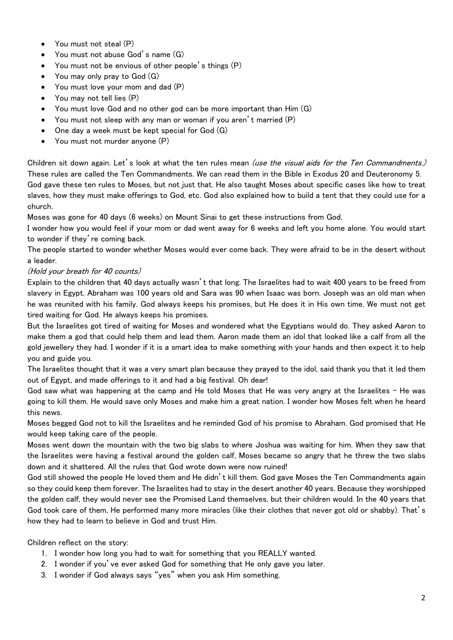- You must not steal (P)
- You must not abuse God's name (G)
- You must not be envious of other people's things (P)
- You may only pray to  $God(G)$
- You must love your mom and dad (P)
- You may not tell lies (P)
- You must love God and no other god can be more important than Him (G)
- You must not sleep with any man or woman if you aren't married (P)
- One day a week must be kept special for God (G)
- You must not murder anyone (P)

Children sit down again. Let's look at what the ten rules mean *(use the visual aids for the Ten Commandments.)* These rules are called the Ten Commandments. We can read them in the Bible in Exodus 20 and Deuteronomy 5. God gave these ten rules to Moses, but not just that. He also taught Moses about specific cases like how to treat slaves, how they must make offerings to God, etc. God also explained how to build a tent that they could use for a church.

Moses was gone for 40 days (6 weeks) on Mount Sinai to get these instructions from God.

I wonder how you would feel if your mom or dad went away for 6 weeks and left you home alone. You would start to wonder if they're coming back.

The people started to wonder whether Moses would ever come back. They were afraid to be in the desert without a leader.

#### (Hold your breath for 40 counts)

Explain to the children that 40 days actually wasn't that long. The Israelites had to wait 400 years to be freed from slavery in Egypt. Abraham was 100 years old and Sara was 90 when Isaac was born. Joseph was an old man when he was reunited with his family. God always keeps his promises, but He does it in His own time. We must not get tired waiting for God. He always keeps his promises.

But the Israelites got tired of waiting for Moses and wondered what the Egyptians would do. They asked Aaron to make them a god that could help them and lead them. Aaron made them an idol that looked like a calf from all the gold jewellery they had. I wonder if it is a smart idea to make something with your hands and then expect it to help you and guide you.

The Israelites thought that it was a very smart plan because they prayed to the idol, said thank you that it led them out of Egypt, and made offerings to it and had a big festival. Oh dear!

God saw what was happening at the camp and He told Moses that He was very angry at the Israelites – He was going to kill them. He would save only Moses and make him a great nation. I wonder how Moses felt when he heard this news.

Moses begged God not to kill the Israelites and he reminded God of his promise to Abraham. God promised that He would keep taking care of the people.

Moses went down the mountain with the two big slabs to where Joshua was waiting for him. When they saw that the Israelites were having a festival around the golden calf, Moses became so angry that he threw the two slabs down and it shattered. All the rules that God wrote down were now ruined!

God still showed the people He loved them and He didn't kill them. God gave Moses the Ten Commandments again so they could keep them forever. The Israelites had to stay in the desert another 40 years. Because they worshipped the golden calf, they would never see the Promised Land themselves, but their children would. In the 40 years that God took care of them, He performed many more miracles (like their clothes that never got old or shabby). That's how they had to learn to believe in God and trust Him.

Children reflect on the story:

- 1. I wonder how long you had to wait for something that you REALLY wanted.
- 2. I wonder if you've ever asked God for something that He only gave you later.
- 3. I wonder if God always says "yes" when you ask Him something.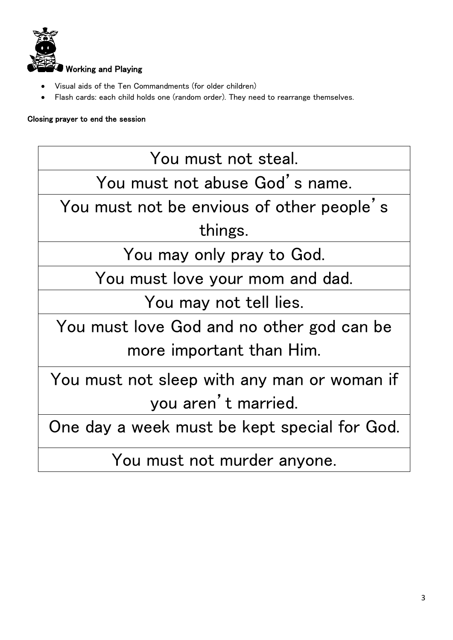

- Visual aids of the Ten Commandments (for older children)
- Flash cards: each child holds one (random order). They need to rearrange themselves.

#### Closing prayer to end the session

| You must not steal.                          |
|----------------------------------------------|
| You must not abuse God's name.               |
| You must not be envious of other people's    |
| things.                                      |
| You may only pray to God.                    |
| You must love your mom and dad.              |
| You may not tell lies.                       |
| You must love God and no other god can be    |
| more important than Him.                     |
| You must not sleep with any man or woman if  |
| you aren't married.                          |
| One day a week must be kept special for God. |
|                                              |

You must not murder anyone.